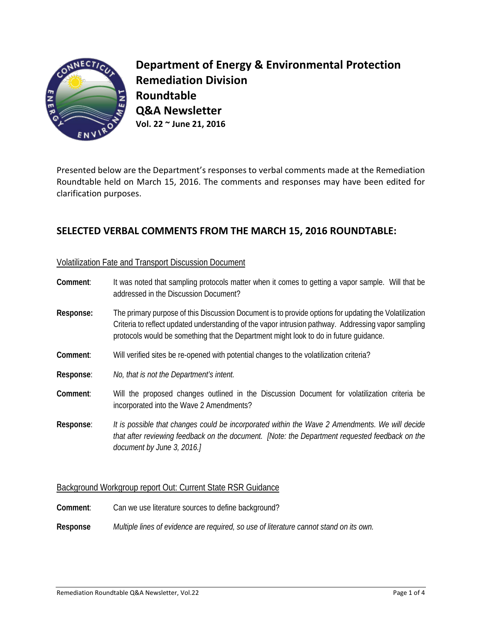

**Department of Energy & Environmental Protection Remediation Division Roundtable Q&A Newsletter Vol. 22 ~ June 21, 2016**

Presented below are the Department's responses to verbal comments made at the Remediation Roundtable held on March 15, 2016. The comments and responses may have been edited for clarification purposes.

# **SELECTED VERBAL COMMENTS FROM THE MARCH 15, 2016 ROUNDTABLE:**

### Volatilization Fate and Transport Discussion Document

| Comment:  | It was noted that sampling protocols matter when it comes to getting a vapor sample. Will that be<br>addressed in the Discussion Document?                                                                                                                                                            |
|-----------|-------------------------------------------------------------------------------------------------------------------------------------------------------------------------------------------------------------------------------------------------------------------------------------------------------|
| Response: | The primary purpose of this Discussion Document is to provide options for updating the Volatilization<br>Criteria to reflect updated understanding of the vapor intrusion pathway. Addressing vapor sampling<br>protocols would be something that the Department might look to do in future quidance. |
| Comment:  | Will verified sites be re-opened with potential changes to the volatilization criteria?                                                                                                                                                                                                               |
| Response: | No, that is not the Department's intent.                                                                                                                                                                                                                                                              |
| Comment:  | Will the proposed changes outlined in the Discussion Document for volatilization criteria be<br>incorporated into the Wave 2 Amendments?                                                                                                                                                              |
| Response: | It is possible that changes could be incorporated within the Wave 2 Amendments. We will decide<br>that after reviewing feedback on the document. [Note: the Department requested feedback on the<br>document by June 3, 2016.]                                                                        |

### Background Workgroup report Out: Current State RSR Guidance

- **Comment**: Can we use literature sources to define background?
- **Response** *Multiple lines of evidence are required, so use of literature cannot stand on its own.*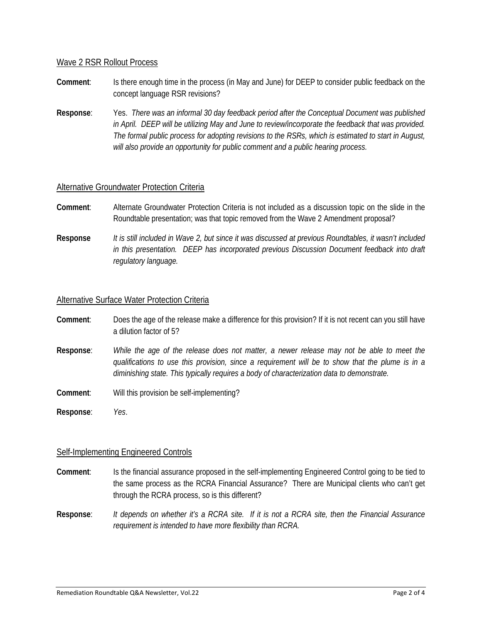#### Wave 2 RSR Rollout Process

- **Comment**: Is there enough time in the process (in May and June) for DEEP to consider public feedback on the concept language RSR revisions?
- **Response**: Yes. *There was an informal 30 day feedback period after the Conceptual Document was published in April. DEEP will be utilizing May and June to review/incorporate the feedback that was provided. The formal public process for adopting revisions to the RSRs, which is estimated to start in August, will also provide an opportunity for public comment and a public hearing process.*

### Alternative Groundwater Protection Criteria

- **Comment**: Alternate Groundwater Protection Criteria is not included as a discussion topic on the slide in the Roundtable presentation; was that topic removed from the Wave 2 Amendment proposal?
- **Response** *It is still included in Wave 2, but since it was discussed at previous Roundtables, it wasn't included in this presentation. DEEP has incorporated previous Discussion Document feedback into draft regulatory language.*

#### Alternative Surface Water Protection Criteria

- **Comment**: Does the age of the release make a difference for this provision? If it is not recent can you still have a dilution factor of 5?
- **Response**: *While the age of the release does not matter, a newer release may not be able to meet the qualifications to use this provision, since a requirement will be to show that the plume is in a diminishing state. This typically requires a body of characterization data to demonstrate.*
- **Comment**: Will this provision be self-implementing?

**Response**: *Yes*.

### Self-Implementing Engineered Controls

- **Comment**: Is the financial assurance proposed in the self-implementing Engineered Control going to be tied to the same process as the RCRA Financial Assurance? There are Municipal clients who can't get through the RCRA process, so is this different?
- **Response**: *It depends on whether it's a RCRA site. If it is not a RCRA site, then the Financial Assurance requirement is intended to have more flexibility than RCRA.*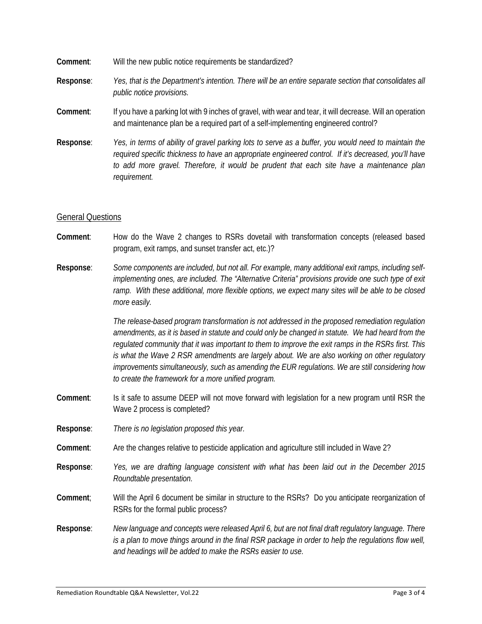- **Comment**: Will the new public notice requirements be standardized?
- **Response**: *Yes, that is the Department's intention. There will be an entire separate section that consolidates all public notice provisions.*
- **Comment**: If you have a parking lot with 9 inches of gravel, with wear and tear, it will decrease. Will an operation and maintenance plan be a required part of a self-implementing engineered control?
- **Response**: *Yes, in terms of ability of gravel parking lots to serve as a buffer, you would need to maintain the required specific thickness to have an appropriate engineered control. If it's decreased, you'll have to add more gravel. Therefore, it would be prudent that each site have a maintenance plan requirement.*

### General Questions

- **Comment**: How do the Wave 2 changes to RSRs dovetail with transformation concepts (released based program, exit ramps, and sunset transfer act, etc.)?
- **Response**: *Some components are included, but not all. For example, many additional exit ramps, including selfimplementing ones, are included. The "Alternative Criteria" provisions provide one such type of exit ramp. With these additional, more flexible options, we expect many sites will be able to be closed more easily.*

*The release-based program transformation is not addressed in the proposed remediation regulation amendments, as it is based in statute and could only be changed in statute. We had heard from the regulated community that it was important to them to improve the exit ramps in the RSRs first. This is what the Wave 2 RSR amendments are largely about. We are also working on other regulatory improvements simultaneously, such as amending the EUR regulations. We are still considering how to create the framework for a more unified program.*

- **Comment**: Is it safe to assume DEEP will not move forward with legislation for a new program until RSR the Wave 2 process is completed?
- **Response**: *There is no legislation proposed this year.*
- **Comment**: Are the changes relative to pesticide application and agriculture still included in Wave 2?
- **Response**: *Yes, we are drafting language consistent with what has been laid out in the December 2015 Roundtable presentation.*
- **Comment**; Will the April 6 document be similar in structure to the RSRs? Do you anticipate reorganization of RSRs for the formal public process?
- **Response**: *New language and concepts were released April 6, but are not final draft regulatory language. There is a plan to move things around in the final RSR package in order to help the regulations flow well, and headings will be added to make the RSRs easier to use.*